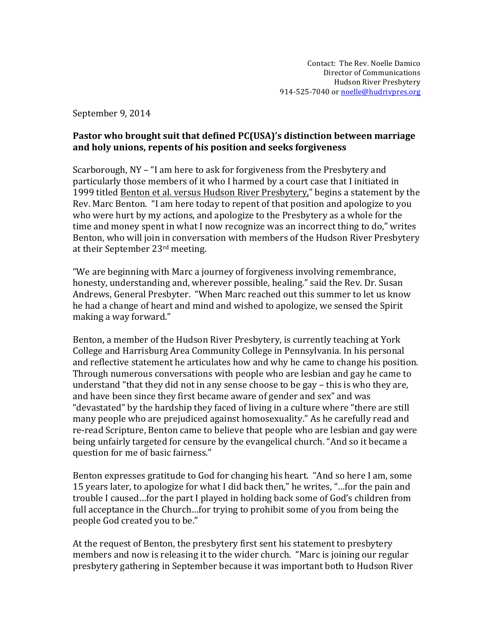September 9, 2014

## Pastor who brought suit that defined PC(USA)'s distinction between marriage and holy unions, repents of his position and seeks forgiveness

Scarborough,  $NY - f$  am here to ask for forgiveness from the Presbytery and particularly those members of it who I harmed by a court case that I initiated in 1999 titled Benton et al. versus Hudson River Presbytery," begins a statement by the Rev. Marc Benton. "I am here today to repent of that position and apologize to you who were hurt by my actions, and apologize to the Presbytery as a whole for the time and money spent in what I now recognize was an incorrect thing to do," writes Benton, who will join in conversation with members of the Hudson River Presbytery at their September 23<sup>rd</sup> meeting.

"We are beginning with Marc a journey of forgiveness involving remembrance. honesty, understanding and, wherever possible, healing." said the Rev. Dr. Susan Andrews, General Presbyter. "When Marc reached out this summer to let us know he had a change of heart and mind and wished to apologize, we sensed the Spirit making a way forward."

Benton, a member of the Hudson River Presbytery, is currently teaching at York College and Harrisburg Area Community College in Pennsylvania. In his personal and reflective statement he articulates how and why he came to change his position. Through numerous conversations with people who are lesbian and gay he came to understand "that they did not in any sense choose to be gay  $-$  this is who they are, and have been since they first became aware of gender and sex" and was "devastated" by the hardship they faced of living in a culture where "there are still many people who are prejudiced against homosexuality." As he carefully read and re-read Scripture, Benton came to believe that people who are lesbian and gay were being unfairly targeted for censure by the evangelical church. "And so it became a question for me of basic fairness."

Benton expresses gratitude to God for changing his heart. "And so here I am, some 15 years later, to apologize for what I did back then," he writes, "...for the pain and trouble I caused...for the part I played in holding back some of God's children from full acceptance in the Church…for trying to prohibit some of you from being the people God created you to be."

At the request of Benton, the presbytery first sent his statement to presbvtery members and now is releasing it to the wider church. "Marc is joining our regular presbytery gathering in September because it was important both to Hudson River